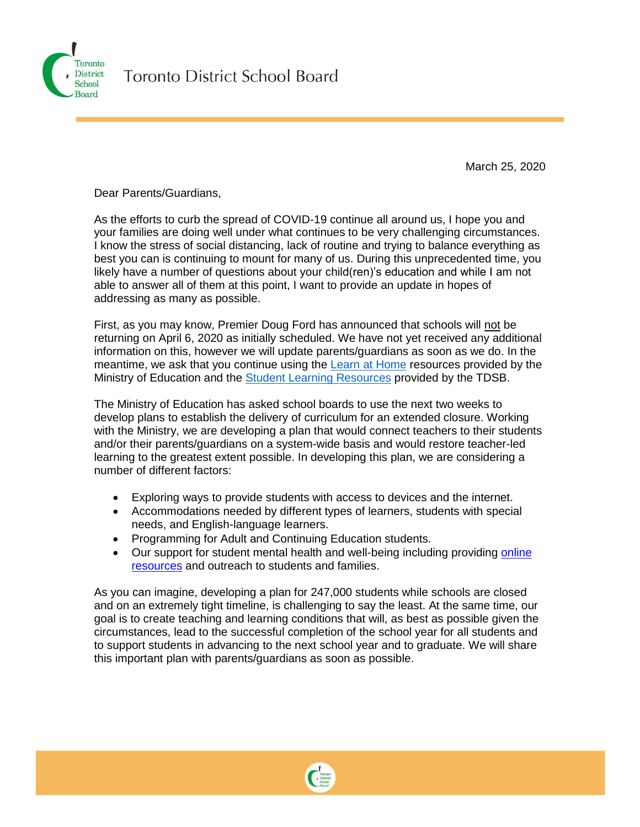

March 25, 2020

Dear Parents/Guardians,

As the efforts to curb the spread of COVID-19 continue all around us, I hope you and your families are doing well under what continues to be very challenging circumstances. I know the stress of social distancing, lack of routine and trying to balance everything as best you can is continuing to mount for many of us. During this unprecedented time, you likely have a number of questions about your child(ren)'s education and while I am not able to answer all of them at this point, I want to provide an update in hopes of addressing as many as possible.

First, as you may know, Premier Doug Ford has announced that schools will not be returning on April 6, 2020 as initially scheduled. We have not yet received any additional information on this, however we will update parents/guardians as soon as we do. In the meantime, we ask that you continue using the [Learn at Home](https://www.ontario.ca/page/learn-at-home) resources provided by the Ministry of Education and the [Student Learning Resources](https://www.tdsb.on.ca/Elementary-School/Supporting-You/Health-Active-Living/Coronavirus/Learning-Resources) provided by the TDSB.

The Ministry of Education has asked school boards to use the next two weeks to develop plans to establish the delivery of curriculum for an extended closure. Working with the Ministry, we are developing a plan that would connect teachers to their students and/or their parents/guardians on a system-wide basis and would restore teacher-led learning to the greatest extent possible. In developing this plan, we are considering a number of different factors:

- Exploring ways to provide students with access to devices and the internet.
- Accommodations needed by different types of learners, students with special needs, and English-language learners.
- Programming for Adult and Continuing Education students.
- Our support for student mental health and well-being including providing [online](https://www.tdsb.on.ca/Elementary-School/Supporting-You/Mental-Health-Well-being/Resources-During-Covid-19)  [resources](https://www.tdsb.on.ca/Elementary-School/Supporting-You/Mental-Health-Well-being/Resources-During-Covid-19) and outreach to students and families.

As you can imagine, developing a plan for 247,000 students while schools are closed and on an extremely tight timeline, is challenging to say the least. At the same time, our goal is to create teaching and learning conditions that will, as best as possible given the circumstances, lead to the successful completion of the school year for all students and to support students in advancing to the next school year and to graduate. We will share this important plan with parents/guardians as soon as possible.